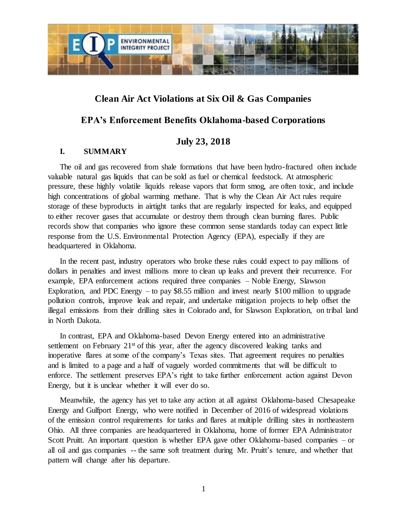

## **Clean Air Act Violations at Six Oil & Gas Companies**

# **EPA's Enforcement Benefits Oklahoma-based Corporations**

## **July 23, 2018**

### **I. SUMMARY**

The oil and gas recovered from shale formations that have been hydro-fractured often include valuable natural gas liquids that can be sold as fuel or chemical feedstock. At atmospheric pressure, these highly volatile liquids release vapors that form smog, are often toxic, and include high concentrations of global warming methane. That is why the Clean Air Act rules require storage of these byproducts in airtight tanks that are regularly inspected for leaks, and equipped to either recover gases that accumulate or destroy them through clean burning flares. Public records show that companies who ignore these common sense standards today can expect little response from the U.S. Environmental Protection Agency (EPA), especially if they are headquartered in Oklahoma.

In the recent past, industry operators who broke these rules could expect to pay millions of dollars in penalties and invest millions more to clean up leaks and prevent their recurrence. For example, EPA enforcement actions required three companies – Noble Energy, Slawson Exploration, and PDC Energy – to pay  $$8.55$  million and invest nearly  $$100$  million to upgrade pollution controls, improve leak and repair, and undertake mitigation projects to help offset the illegal emissions from their drilling sites in Colorado and, for Slawson Exploration, on tribal land in North Dakota.

In contrast, EPA and Oklahoma-based Devon Energy entered into an administrative settlement on February  $21<sup>st</sup>$  of this year, after the agency discovered leaking tanks and inoperative flares at some of the company's Texas sites. That agreement requires no penalties and is limited to a page and a half of vaguely worded commitments that will be difficult to enforce. The settlement preserves EPA's right to take further enforcement action against Devon Energy, but it is unclear whether it will ever do so.

Meanwhile, the agency has yet to take any action at all against Oklahoma-based Chesapeake Energy and Gulfport Energy, who were notified in December of 2016 of widespread violations of the emission control requirements for tanks and flares at multiple drilling sites in northeastern Ohio. All three companies are headquartered in Oklahoma, home of former EPA Administrator Scott Pruitt. An important question is whether EPA gave other Oklahoma-based companies – or all oil and gas companies -- the same soft treatment during Mr. Pruitt's tenure, and whether that pattern will change after his departure.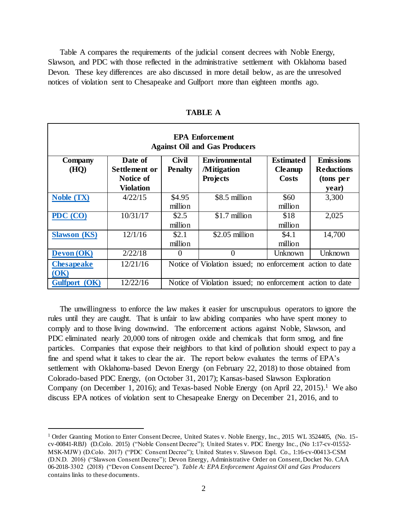Table A compares the requirements of the judicial consent decrees with Noble Energy, Slawson, and PDC with those reflected in the administrative settlement with Oklahoma based Devon. These key differences are also discussed in more detail below, as are the unresolved notices of violation sent to Chesapeake and Gulfport more than eighteen months ago.

| <b>EPA Enforcement</b><br><b>Against Oil and Gas Producers</b> |                          |                         |                                                           |                                    |                                       |
|----------------------------------------------------------------|--------------------------|-------------------------|-----------------------------------------------------------|------------------------------------|---------------------------------------|
| <b>Company</b><br>(HQ)                                         | Date of<br>Settlement or | Civil<br><b>Penalty</b> | <b>Environmental</b><br><b>Mitigation</b>                 | <b>Estimated</b><br><b>Cleanup</b> | <b>Emissions</b><br><b>Reductions</b> |
|                                                                | Notice of                |                         | <b>Projects</b>                                           | <b>Costs</b>                       | (tons per                             |
|                                                                | <b>Violation</b>         |                         |                                                           |                                    | year)                                 |
| <b>Noble (TX)</b>                                              | 4/22/15                  | \$4.95                  | \$8.5 million                                             | \$60                               | 3,300                                 |
|                                                                |                          | million                 |                                                           | million                            |                                       |
| PDC (CO)                                                       | 10/31/17                 | \$2.5                   | \$1.7 million                                             | \$18                               | 2,025                                 |
|                                                                |                          | million                 |                                                           | million                            |                                       |
| <b>Slawson</b> (KS)                                            | 12/1/16                  | \$2.1                   | \$2.05 million                                            | \$4.1                              | 14,700                                |
|                                                                |                          | million                 |                                                           | million                            |                                       |
| <b>Devon (OK)</b>                                              | 2/22/18                  | $\Omega$                | $\theta$                                                  | Unknown                            | Unknown                               |
| <b>Chesapeake</b>                                              | 12/21/16                 |                         | Notice of Violation issued; no enforcement action to date |                                    |                                       |
| ( <b>OK</b> )                                                  |                          |                         |                                                           |                                    |                                       |
| Gulfport (OK)                                                  | 12/22/16                 |                         | Notice of Violation issued; no enforcement action to date |                                    |                                       |

**TABLE A**

The unwillingness to enforce the law makes it easier for unscrupulous operators to ignore the rules until they are caught. That is unfair to law abiding companies who have spent money to comply and to those living downwind. The enforcement actions against Noble, Slawson, and PDC eliminated nearly 20,000 tons of nitrogen oxide and chemicals that form smog, and fine particles. Companies that expose their neighbors to that kind of pollution should expect to pay a fine and spend what it takes to clear the air. The report below evaluates the terms of EPA's settlement with Oklahoma-based Devon Energy (on February 22, 2018) to those obtained from Colorado-based PDC Energy, (on October 31, 2017); Kansas-based Slawson Exploration Company (on December 1, 2016); and Texas-based Noble Energy (on April 22, 2015).<sup>1</sup> We also discuss EPA notices of violation sent to Chesapeake Energy on December 21, 2016, and to

<sup>&</sup>lt;sup>1</sup> Order Granting Motion to Enter Consent Decree, United States v. Noble Energy, Inc., 2015 WL 3524405, (No. 15cv-00841-RBJ) (D.Colo. 2015) ("Noble Consent Decree"); United States v. PDC Energy Inc., (No 1:17-cv-01552- MSK-MJW) (D.Colo. 2017) ("PDC Consent Decree"); United States v. Slawson Expl. Co., 1:16-cv-00413-CSM (D.N.D. 2016) ("Slawson Consent Decree"); Devon Energy, Administrative Order on Consent, Docket No. CAA 06-2018-3302 (2018) ("Devon Consent Decree"). *Table A: EPA Enforcement Against Oil and Gas Producers* contains links to these documents.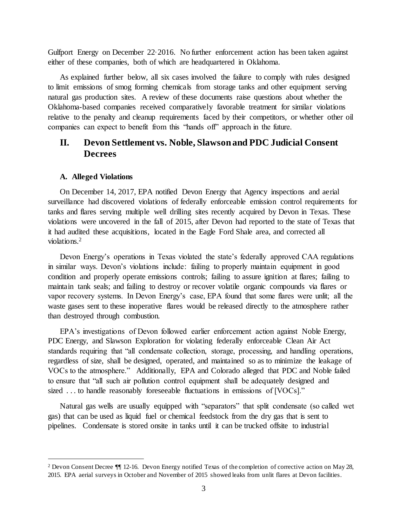Gulfport Energy on December 22, 2016. No further enforcement action has been taken against either of these companies, both of which are headquartered in Oklahoma.

As explained further below, all six cases involved the failure to comply with rules designed to limit emissions of smog forming chemicals from storage tanks and other equipment serving natural gas production sites. A review of these documents raise questions about whether the Oklahoma-based companies received comparatively favorable treatment for similar violations relative to the penalty and cleanup requirements faced by their competitors, or whether other oil companies can expect to benefit from this "hands off" approach in the future.

## **II. Devon Settlement vs. Noble, Slawson and PDC Judicial Consent Decrees**

#### **A. Alleged Violations**

 $\overline{a}$ 

On December 14, 2017, EPA notified Devon Energy that Agency inspections and aerial surveillance had discovered violations of federally enforceable emission control requirements for tanks and flares serving multiple well drilling sites recently acquired by Devon in Texas. These violations were uncovered in the fall of 2015, after Devon had reported to the state of Texas that it had audited these acquisitions, located in the Eagle Ford Shale area, and corrected all violations.<sup>2</sup>

Devon Energy's operations in Texas violated the state's federally approved CAA regulations in similar ways. Devon's violations include: failing to properly maintain equipment in good condition and properly operate emissions controls; failing to assure ignition at flares; failing to maintain tank seals; and failing to destroy or recover volatile organic compounds via flares or vapor recovery systems. In Devon Energy's case, EPA found that some flares were unlit; all the waste gases sent to these inoperative flares would be released directly to the atmosphere rather than destroyed through combustion.

EPA's investigations of Devon followed earlier enforcement action against Noble Energy, PDC Energy, and Slawson Exploration for violating federally enforceable Clean Air Act standards requiring that "all condensate collection, storage, processing, and handling operations, regardless of size, shall be designed, operated, and maintained so as to minimize the leakage of VOCs to the atmosphere." Additionally, EPA and Colorado alleged that PDC and Noble failed to ensure that "all such air pollution control equipment shall be adequately designed and sized ... to handle reasonably foreseeable fluctuations in emissions of [VOCs]."

Natural gas wells are usually equipped with "separators" that split condensate (so called wet gas) that can be used as liquid fuel or chemical feedstock from the dry gas that is sent to pipelines. Condensate is stored onsite in tanks until it can be trucked offsite to industrial

<sup>2</sup> Devon Consent Decree ¶¶ 12-16. Devon Energy notified Texas of the completion of corrective action on May 28, 2015. EPA aerial surveys in October and November of 2015 showed leaks from unlit flares at Devon facilities.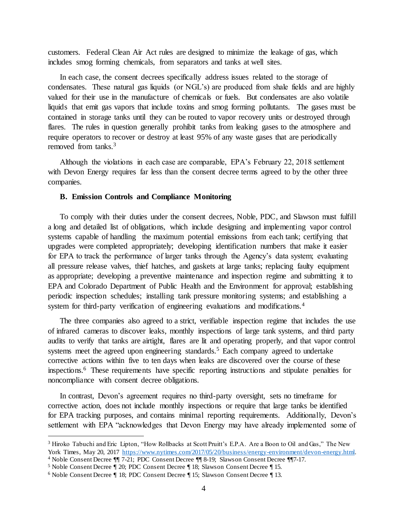customers. Federal Clean Air Act rules are designed to minimize the leakage of gas, which includes smog forming chemicals, from separators and tanks at well sites.

In each case, the consent decrees specifically address issues related to the storage of condensates. These natural gas liquids (or NGL's) are produced from shale fields and are highly valued for their use in the manufacture of chemicals or fuels. But condensates are also volatile liquids that emit gas vapors that include toxins and smog forming pollutants. The gases must be contained in storage tanks until they can be routed to vapor recovery units or destroyed through flares. The rules in question generally prohibit tanks from leaking gases to the atmosphere and require operators to recover or destroy at least 95% of any waste gases that are periodically removed from tanks.<sup>3</sup>

Although the violations in each case are comparable, EPA's February 22, 2018 settlement with Devon Energy requires far less than the consent decree terms agreed to by the other three companies.

#### **B. Emission Controls and Compliance Monitoring**

To comply with their duties under the consent decrees, Noble, PDC, and Slawson must fulfill a long and detailed list of obligations, which include designing and implementing vapor control systems capable of handling the maximum potential emissions from each tank; certifying that upgrades were completed appropriately; developing identification numbers that make it easier for EPA to track the performance of larger tanks through the Agency's data system; evaluating all pressure release valves, thief hatches, and gaskets at large tanks; replacing faulty equipment as appropriate; developing a preventive maintenance and inspection regime and submitting it to EPA and Colorado Department of Public Health and the Environment for approval; establishing periodic inspection schedules; installing tank pressure monitoring systems; and establishing a system for third-party verification of engineering evaluations and modifications.<sup>4</sup>

The three companies also agreed to a strict, verifiable inspection regime that includes the use of infrared cameras to discover leaks, monthly inspections of large tank systems, and third party audits to verify that tanks are airtight, flares are lit and operating properly, and that vapor control systems meet the agreed upon engineering standards.<sup>5</sup> Each company agreed to undertake corrective actions within five to ten days when leaks are discovered over the course of these inspections.<sup>6</sup> These requirements have specific reporting instructions and stipulate penalties for noncompliance with consent decree obligations.

In contrast, Devon's agreement requires no third-party oversight, sets no timeframe for corrective action, does not include monthly inspections or require that large tanks be identified for EPA tracking purposes, and contains minimal reporting requirements. Additionally, Devon's settlement with EPA "acknowledges that Devon Energy may have already implemented some of

<sup>&</sup>lt;sup>3</sup> Hiroko Tabuchi and Eric Lipton, "How Rollbacks at Scott Pruitt's E.P.A. Are a Boon to Oil and Gas," The New York Times, May 20, 2017 [https://www.nytimes.com/2017/05/20/business/energy-environment/devon-energy.html.](https://www.nytimes.com/2017/05/20/business/energy-environment/devon-energy.html)

<sup>4</sup> Noble Consent Decree ¶¶ 7-21; PDC Consent Decree ¶¶ 8-19; Slawson Consent Decree ¶¶7-17.

<sup>5</sup> Noble Consent Decree ¶ 20; PDC Consent Decree ¶ 18; Slawson Consent Decree ¶ 15.

<sup>6</sup> Noble Consent Decree ¶ 18; PDC Consent Decree ¶ 15; Slawson Consent Decree ¶ 13.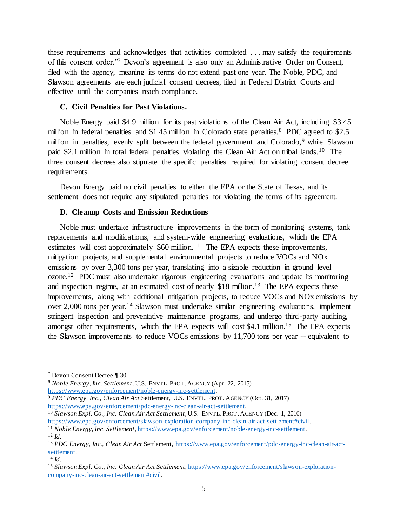these requirements and acknowledges that activities completed . . . may satisfy the requirements of this consent order."<sup>7</sup> Devon's agreement is also only an Administrative Order on Consent, filed with the agency, meaning its terms do not extend past one year. The Noble, PDC, and Slawson agreements are each judicial consent decrees, filed in Federal District Courts and effective until the companies reach compliance.

### **C. Civil Penalties for Past Violations.**

Noble Energy paid \$4.9 million for its past violations of the Clean Air Act, including \$3.45 million in federal penalties and \$1.45 million in Colorado state penalties.<sup>8</sup> PDC agreed to \$2.5 million in penalties, evenly split between the federal government and Colorado,<sup>9</sup> while Slawson paid \$2.1 million in total federal penalties violating the Clean Air Act on tribal lands.<sup>10</sup> The three consent decrees also stipulate the specific penalties required for violating consent decree requirements.

Devon Energy paid no civil penalties to either the EPA or the State of Texas, and its settlement does not require any stipulated penalties for violating the terms of its agreement.

### **D. Cleanup Costs and Emission Reductions**

Noble must undertake infrastructure improvements in the form of monitoring systems, tank replacements and modifications, and system-wide engineering evaluations, which the EPA estimates will cost approximately  $$60$  million.<sup>11</sup> The EPA expects these improvements, mitigation projects, and supplemental environmental projects to reduce VOCs and NOx emissions by over 3,300 tons per year, translating into a sizable reduction in ground level ozone.<sup>12</sup> PDC must also undertake rigorous engineering evaluations and update its monitoring and inspection regime, at an estimated cost of nearly \$18 million.<sup>13</sup> The EPA expects these improvements, along with additional mitigation projects, to reduce VOCs and NOx emissions by over 2,000 tons per year.<sup>14</sup> Slawson must undertake similar engineering evaluations, implement stringent inspection and preventative maintenance programs, and undergo third-party auditing, amongst other requirements, which the EPA expects will cost \$4.1 million.<sup>15</sup> The EPA expects the Slawson improvements to reduce VOCs emissions by 11,700 tons per year -- equivalent to

<sup>7</sup> Devon Consent Decree ¶ 30.

<sup>8</sup> *Noble Energy, Inc. Settlement*, U.S. ENVTL.PROT.AGENCY (Apr. 22, 2015) [https://www.epa.gov/enforcement/noble-energy-inc-settlement.](https://www.epa.gov/enforcement/noble-energy-inc-settlement)

<sup>9</sup> *PDC Energy, Inc., Clean Air Act* Settlement, U.S. ENVTL. PROT.AGENCY (Oct. 31, 2017) [https://www.epa.gov/enforcement/pdc-energy-inc-clean-air-act-settlement.](https://www.epa.gov/enforcement/pdc-energy-inc-clean-air-act-settlement)

<sup>10</sup> *Slawson Expl. Co., Inc. Clean Air Act Settlement*,U.S. ENVTL.PROT.AGENCY (Dec. 1, 2016) [https://www.epa.gov/enforcement/slawson-exploration-company-inc-clean-air-act-settlement#civil.](https://www.epa.gov/enforcement/slawson-exploration-company-inc-clean-air-act-settlement#civil)

<sup>11</sup> *Noble Energy, Inc. Settlement*[, https://www.epa.gov/enforcement/noble-energy-inc-settlement.](https://www.epa.gov/enforcement/noble-energy-inc-settlement) <sup>12</sup> *Id.*

<sup>13</sup> *PDC Energy, Inc., Clean Air Act* Settlement, [https://www.epa.gov/enforcement/pdc-energy-inc-clean-air-act](https://www.epa.gov/enforcement/pdc-energy-inc-clean-air-act-settlement)[settlement.](https://www.epa.gov/enforcement/pdc-energy-inc-clean-air-act-settlement)

<sup>14</sup> *Id.*

<sup>15</sup> *Slawson Expl. Co., Inc. Clean Air Act Settlement*[, https://www.epa.gov/enforcement/slawson-exploration](https://www.epa.gov/enforcement/slawson-exploration-company-inc-clean-air-act-settlement#civil)[company-inc-clean-air-act-settlement#civil.](https://www.epa.gov/enforcement/slawson-exploration-company-inc-clean-air-act-settlement#civil)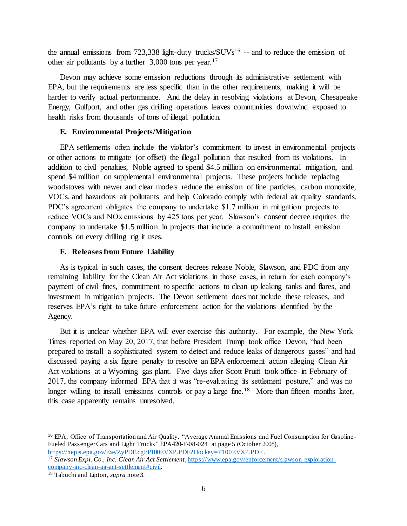the annual emissions from  $723,338$  light-duty trucks/ $\text{SUVs}^{16}$  -- and to reduce the emission of other air pollutants by a further 3,000 tons per year.<sup>17</sup>

Devon may achieve some emission reductions through its administrative settlement with EPA, but the requirements are less specific than in the other requirements, making it will be harder to verify actual performance. And the delay in resolving violations at Devon, Chesapeake Energy, Gulfport, and other gas drilling operations leaves communities downwind exposed to health risks from thousands of tons of illegal pollution.

### **E. Environmental Projects/Mitigation**

EPA settlements often include the violator's commitment to invest in environmental projects or other actions to mitigate (or offset) the illegal pollution that resulted from its violations. In addition to civil penalties, Noble agreed to spend \$4.5 million on environmental mitigation, and spend \$4 million on supplemental environmental projects. These projects include replacing woodstoves with newer and clear models reduce the emission of fine particles, carbon monoxide, VOCs, and hazardous air pollutants and help Colorado comply with federal air quality standards. PDC's agreement obligates the company to undertake \$1.7 million in mitigation projects to reduce VOCs and NOx emissions by 425 tons per year. Slawson's consent decree requires the company to undertake \$1.5 million in projects that include a commitment to install emission controls on every drilling rig it uses.

### **F. Releases from Future Liability**

As is typical in such cases, the consent decrees release Noble, Slawson, and PDC from any remaining liability for the Clean Air Act violations in those cases, in return for each company's payment of civil fines, commitment to specific actions to clean up leaking tanks and flares, and investment in mitigation projects. The Devon settlement does not include these releases, and reserves EPA's right to take future enforcement action for the violations identified by the Agency.

But it is unclear whether EPA will ever exercise this authority. For example, the New York Times reported on May 20, 2017, that before President Trump took office Devon, "had been prepared to install a sophisticated system to detect and reduce leaks of dangerous gases" and had discussed paying a six figure penalty to resolve an EPA enforcement action alleging Clean Air Act violations at a Wyoming gas plant. Five days after Scott Pruitt took office in February of 2017, the company informed EPA that it was "re-evaluating its settlement posture," and was no longer willing to install emissions controls or pay a large fine.<sup>18</sup> More than fifteen months later, this case apparently remains unresolved.

<sup>16</sup> EPA, Office of Transportation and Air Quality. "Average Annual Emissions and Fuel Consumption for Gasoline - Fueled Passenger Cars and Light Trucks " EPA420-F-08-024 at page 5 (October 2008), <https://nepis.epa.gov/Exe/ZyPDF.cgi/P100EVXP.PDF?Dockey=P100EVXP.PDF> .

<sup>17</sup> *Slawson Expl. Co., Inc. Clean Air Act Settlement*[, https://www.epa.gov/enforcement/slawson-exploration](https://www.epa.gov/enforcement/slawson-exploration-company-inc-clean-air-act-settlement#civil)[company-inc-clean-air-act-settlement#civil.](https://www.epa.gov/enforcement/slawson-exploration-company-inc-clean-air-act-settlement#civil)

<sup>18</sup> Tabuchi and Lipton, *supra* note 3.